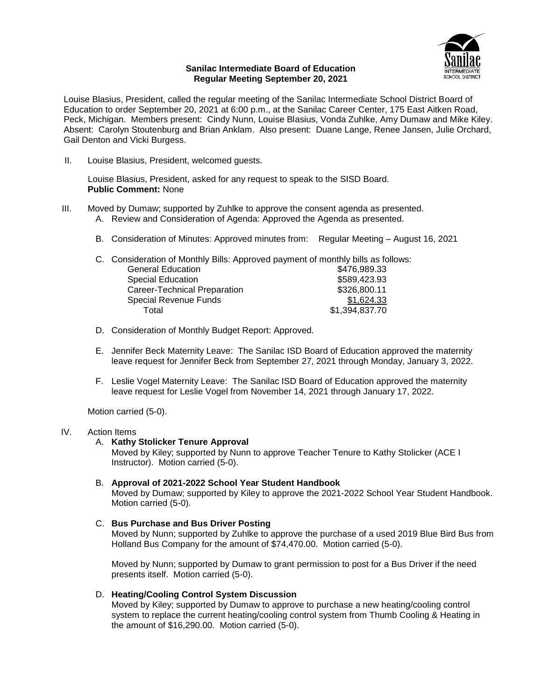

#### **Sanilac Intermediate Board of Education Regular Meeting September 20, 2021**

Louise Blasius, President, called the regular meeting of the Sanilac Intermediate School District Board of Education to order September 20, 2021 at 6:00 p.m., at the Sanilac Career Center, 175 East Aitken Road, Peck, Michigan. Members present: Cindy Nunn, Louise Blasius, Vonda Zuhlke, Amy Dumaw and Mike Kiley. Absent: Carolyn Stoutenburg and Brian Anklam. Also present: Duane Lange, Renee Jansen, Julie Orchard, Gail Denton and Vicki Burgess.

II. Louise Blasius, President, welcomed guests.

Louise Blasius, President, asked for any request to speak to the SISD Board. **Public Comment:** None

- III. Moved by Dumaw; supported by Zuhlke to approve the consent agenda as presented.
	- A. Review and Consideration of Agenda: Approved the Agenda as presented.
	- B. Consideration of Minutes: Approved minutes from: Regular Meeting August 16, 2021

| C. Consideration of Monthly Bills: Approved payment of monthly bills as follows: |                |
|----------------------------------------------------------------------------------|----------------|
| <b>General Education</b>                                                         | \$476,989.33   |
| <b>Special Education</b>                                                         | \$589,423.93   |
| Career-Technical Preparation                                                     | \$326,800.11   |
| <b>Special Revenue Funds</b>                                                     | \$1,624.33     |
| Total                                                                            | \$1,394,837.70 |

- D. Consideration of Monthly Budget Report: Approved.
- E. Jennifer Beck Maternity Leave: The Sanilac ISD Board of Education approved the maternity leave request for Jennifer Beck from September 27, 2021 through Monday, January 3, 2022.
- F. Leslie Vogel Maternity Leave: The Sanilac ISD Board of Education approved the maternity leave request for Leslie Vogel from November 14, 2021 through January 17, 2022.

Motion carried (5-0).

#### IV. Action Items

A. **Kathy Stolicker Tenure Approval**

Moved by Kiley; supported by Nunn to approve Teacher Tenure to Kathy Stolicker (ACE I Instructor). Motion carried (5-0).

B. **Approval of 2021-2022 School Year Student Handbook**

Moved by Dumaw; supported by Kiley to approve the 2021-2022 School Year Student Handbook. Motion carried (5-0).

# C. **Bus Purchase and Bus Driver Posting**

Moved by Nunn; supported by Zuhlke to approve the purchase of a used 2019 Blue Bird Bus from Holland Bus Company for the amount of \$74,470.00. Motion carried (5-0).

Moved by Nunn; supported by Dumaw to grant permission to post for a Bus Driver if the need presents itself. Motion carried (5-0).

D. **Heating/Cooling Control System Discussion**

Moved by Kiley; supported by Dumaw to approve to purchase a new heating/cooling control system to replace the current heating/cooling control system from Thumb Cooling & Heating in the amount of \$16,290.00. Motion carried (5-0).